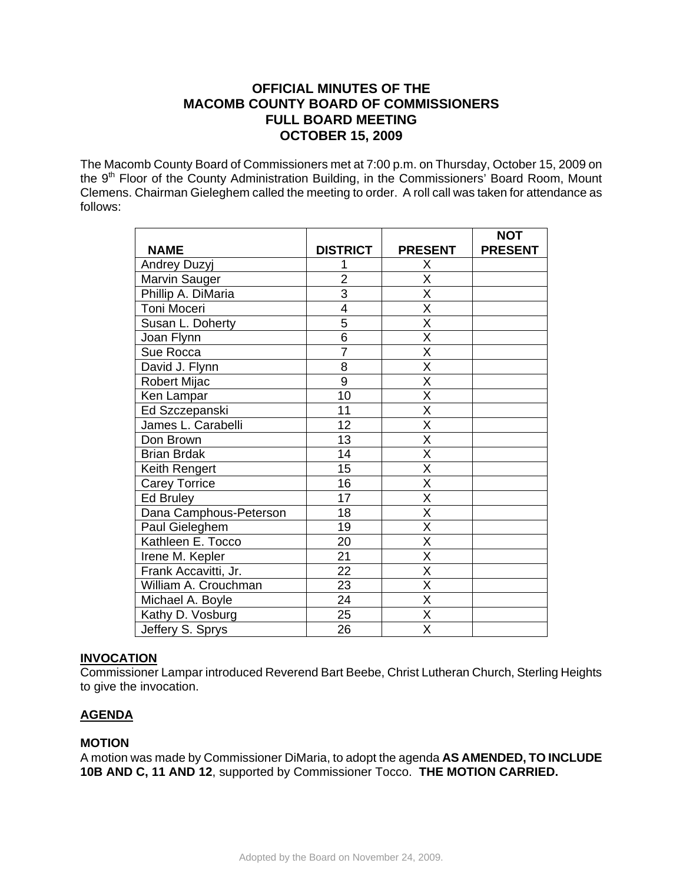# **OFFICIAL MINUTES OF THE MACOMB COUNTY BOARD OF COMMISSIONERS FULL BOARD MEETING OCTOBER 15, 2009**

The Macomb County Board of Commissioners met at 7:00 p.m. on Thursday, October 15, 2009 on the 9<sup>th</sup> Floor of the County Administration Building, in the Commissioners' Board Room, Mount Clemens. Chairman Gieleghem called the meeting to order. A roll call was taken for attendance as follows:

|                        |                 |                         | <b>NOT</b>     |
|------------------------|-----------------|-------------------------|----------------|
| <b>NAME</b>            | <b>DISTRICT</b> | <b>PRESENT</b>          | <b>PRESENT</b> |
| Andrey Duzyj           |                 | Χ                       |                |
| Marvin Sauger          | $\overline{2}$  | $\overline{\mathsf{X}}$ |                |
| Phillip A. DiMaria     | $\overline{3}$  | $\overline{\mathsf{x}}$ |                |
| Toni Moceri            | 4               | $\overline{\mathsf{x}}$ |                |
| Susan L. Doherty       | 5               | X                       |                |
| Joan Flynn             | $\overline{6}$  | $\overline{\mathsf{x}}$ |                |
| Sue Rocca              | $\overline{7}$  | $\overline{\mathsf{x}}$ |                |
| David J. Flynn         | 8               | $\overline{\mathsf{x}}$ |                |
| Robert Mijac           | 9               | $\overline{\mathsf{x}}$ |                |
| Ken Lampar             | 10              | $\overline{\mathsf{x}}$ |                |
| Ed Szczepanski         | 11              | X                       |                |
| James L. Carabelli     | 12              | $\overline{\mathsf{x}}$ |                |
| Don Brown              | 13              | $\overline{\mathsf{x}}$ |                |
| <b>Brian Brdak</b>     | 14              | X                       |                |
| Keith Rengert          | 15              | $\overline{\mathsf{x}}$ |                |
| <b>Carey Torrice</b>   | 16              | $\overline{\mathsf{x}}$ |                |
| Ed Bruley              | 17              | $\overline{\mathsf{x}}$ |                |
| Dana Camphous-Peterson | 18              | $\overline{\mathsf{x}}$ |                |
| Paul Gieleghem         | 19              | $\overline{\mathsf{x}}$ |                |
| Kathleen E. Tocco      | 20              | X                       |                |
| Irene M. Kepler        | 21              | X                       |                |
| Frank Accavitti, Jr.   | $\overline{22}$ | $\overline{\mathsf{x}}$ |                |
| William A. Crouchman   | 23              | $\overline{\mathsf{x}}$ |                |
| Michael A. Boyle       | 24              | X                       |                |
| Kathy D. Vosburg       | 25              | $\overline{\mathsf{x}}$ |                |
| Jeffery S. Sprys       | 26              | $\overline{\mathsf{x}}$ |                |

## **INVOCATION**

Commissioner Lampar introduced Reverend Bart Beebe, Christ Lutheran Church, Sterling Heights to give the invocation.

## **AGENDA**

## **MOTION**

A motion was made by Commissioner DiMaria, to adopt the agenda **AS AMENDED, TO INCLUDE 10B AND C, 11 AND 12**, supported by Commissioner Tocco. **THE MOTION CARRIED.**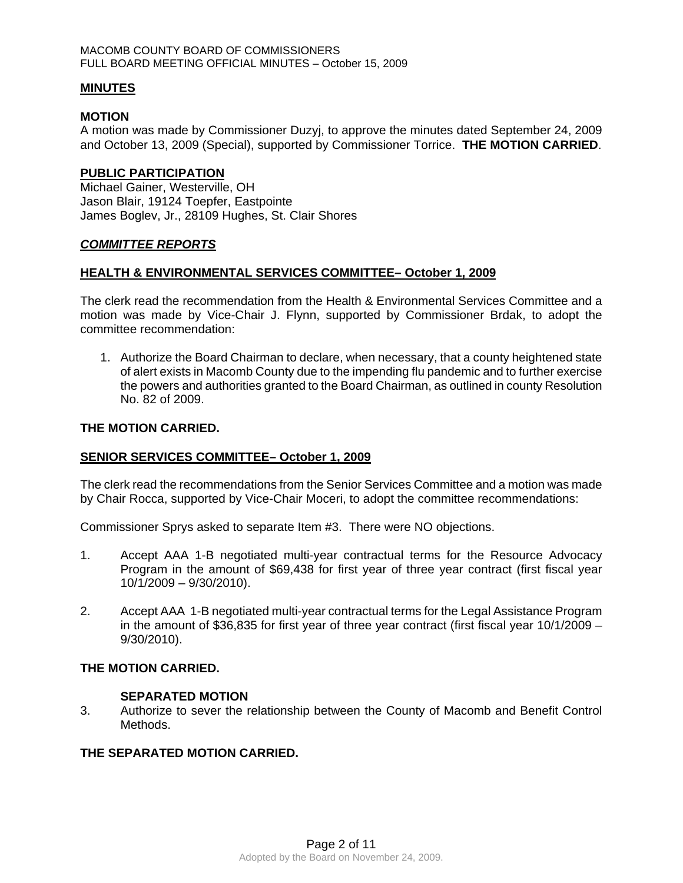#### MACOMB COUNTY BOARD OF COMMISSIONERS FULL BOARD MEETING OFFICIAL MINUTES – October 15, 2009

#### **MINUTES**

#### **MOTION**

A motion was made by Commissioner Duzyj, to approve the minutes dated September 24, 2009 and October 13, 2009 (Special), supported by Commissioner Torrice. **THE MOTION CARRIED**.

#### **PUBLIC PARTICIPATION**

Michael Gainer, Westerville, OH Jason Blair, 19124 Toepfer, Eastpointe James Boglev, Jr., 28109 Hughes, St. Clair Shores

## *COMMITTEE REPORTS*

#### **HEALTH & ENVIRONMENTAL SERVICES COMMITTEE– October 1, 2009**

The clerk read the recommendation from the Health & Environmental Services Committee and a motion was made by Vice-Chair J. Flynn, supported by Commissioner Brdak, to adopt the committee recommendation:

1. Authorize the Board Chairman to declare, when necessary, that a county heightened state of alert exists in Macomb County due to the impending flu pandemic and to further exercise the powers and authorities granted to the Board Chairman, as outlined in county Resolution No. 82 of 2009.

#### **THE MOTION CARRIED.**

## **SENIOR SERVICES COMMITTEE– October 1, 2009**

The clerk read the recommendations from the Senior Services Committee and a motion was made by Chair Rocca, supported by Vice-Chair Moceri, to adopt the committee recommendations:

Commissioner Sprys asked to separate Item #3. There were NO objections.

- 1. Accept AAA 1-B negotiated multi-year contractual terms for the Resource Advocacy Program in the amount of \$69,438 for first year of three year contract (first fiscal year 10/1/2009 – 9/30/2010).
- 2. Accept AAA 1-B negotiated multi-year contractual terms for the Legal Assistance Program in the amount of \$36,835 for first year of three year contract (first fiscal year 10/1/2009 – 9/30/2010).

## **THE MOTION CARRIED.**

#### **SEPARATED MOTION**

3. Authorize to sever the relationship between the County of Macomb and Benefit Control Methods.

#### **THE SEPARATED MOTION CARRIED.**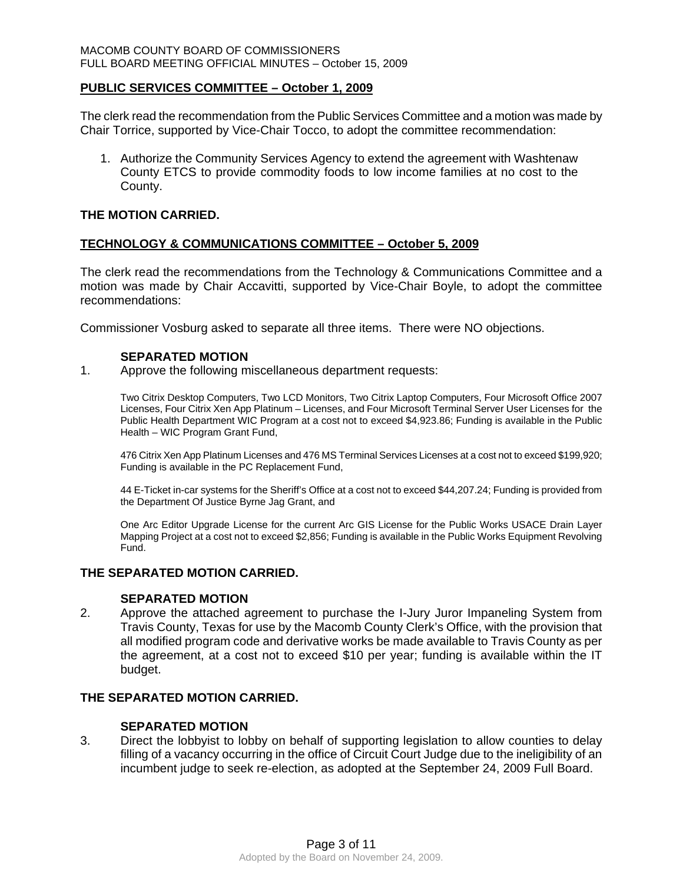## **PUBLIC SERVICES COMMITTEE – October 1, 2009**

The clerk read the recommendation from the Public Services Committee and a motion was made by Chair Torrice, supported by Vice-Chair Tocco, to adopt the committee recommendation:

1. Authorize the Community Services Agency to extend the agreement with Washtenaw County ETCS to provide commodity foods to low income families at no cost to the County.

## **THE MOTION CARRIED.**

## **TECHNOLOGY & COMMUNICATIONS COMMITTEE – October 5, 2009**

The clerk read the recommendations from the Technology & Communications Committee and a motion was made by Chair Accavitti, supported by Vice-Chair Boyle, to adopt the committee recommendations:

Commissioner Vosburg asked to separate all three items. There were NO objections.

## **SEPARATED MOTION**

1. Approve the following miscellaneous department requests:

Two Citrix Desktop Computers, Two LCD Monitors, Two Citrix Laptop Computers, Four Microsoft Office 2007 Licenses, Four Citrix Xen App Platinum – Licenses, and Four Microsoft Terminal Server User Licenses for the Public Health Department WIC Program at a cost not to exceed \$4,923.86; Funding is available in the Public Health – WIC Program Grant Fund,

476 Citrix Xen App Platinum Licenses and 476 MS Terminal Services Licenses at a cost not to exceed \$199,920; Funding is available in the PC Replacement Fund,

44 E-Ticket in-car systems for the Sheriff's Office at a cost not to exceed \$44,207.24; Funding is provided from the Department Of Justice Byrne Jag Grant, and

One Arc Editor Upgrade License for the current Arc GIS License for the Public Works USACE Drain Layer Mapping Project at a cost not to exceed \$2,856; Funding is available in the Public Works Equipment Revolving Fund.

## **THE SEPARATED MOTION CARRIED.**

## **SEPARATED MOTION**

2. Approve the attached agreement to purchase the I-Jury Juror Impaneling System from Travis County, Texas for use by the Macomb County Clerk's Office, with the provision that all modified program code and derivative works be made available to Travis County as per the agreement, at a cost not to exceed \$10 per year; funding is available within the IT budget.

## **THE SEPARATED MOTION CARRIED.**

## **SEPARATED MOTION**

3. Direct the lobbyist to lobby on behalf of supporting legislation to allow counties to delay filling of a vacancy occurring in the office of Circuit Court Judge due to the ineligibility of an incumbent judge to seek re-election, as adopted at the September 24, 2009 Full Board.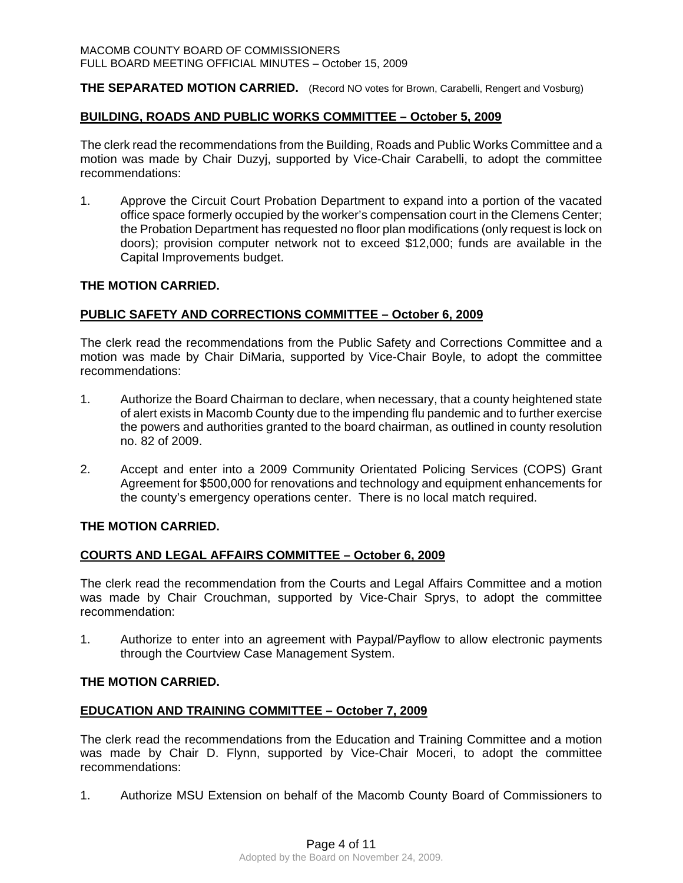**THE SEPARATED MOTION CARRIED.** (Record NO votes for Brown, Carabelli, Rengert and Vosburg)

#### **BUILDING, ROADS AND PUBLIC WORKS COMMITTEE – October 5, 2009**

The clerk read the recommendations from the Building, Roads and Public Works Committee and a motion was made by Chair Duzyj, supported by Vice-Chair Carabelli, to adopt the committee recommendations:

1. Approve the Circuit Court Probation Department to expand into a portion of the vacated office space formerly occupied by the worker's compensation court in the Clemens Center; the Probation Department has requested no floor plan modifications (only request is lock on doors); provision computer network not to exceed \$12,000; funds are available in the Capital Improvements budget.

#### **THE MOTION CARRIED.**

#### **PUBLIC SAFETY AND CORRECTIONS COMMITTEE – October 6, 2009**

The clerk read the recommendations from the Public Safety and Corrections Committee and a motion was made by Chair DiMaria, supported by Vice-Chair Boyle, to adopt the committee recommendations:

- 1. Authorize the Board Chairman to declare, when necessary, that a county heightened state of alert exists in Macomb County due to the impending flu pandemic and to further exercise the powers and authorities granted to the board chairman, as outlined in county resolution no. 82 of 2009.
- 2. Accept and enter into a 2009 Community Orientated Policing Services (COPS) Grant Agreement for \$500,000 for renovations and technology and equipment enhancements for the county's emergency operations center. There is no local match required.

## **THE MOTION CARRIED.**

## **COURTS AND LEGAL AFFAIRS COMMITTEE – October 6, 2009**

The clerk read the recommendation from the Courts and Legal Affairs Committee and a motion was made by Chair Crouchman, supported by Vice-Chair Sprys, to adopt the committee recommendation:

1. Authorize to enter into an agreement with Paypal/Payflow to allow electronic payments through the Courtview Case Management System.

#### **THE MOTION CARRIED.**

## **EDUCATION AND TRAINING COMMITTEE – October 7, 2009**

The clerk read the recommendations from the Education and Training Committee and a motion was made by Chair D. Flynn, supported by Vice-Chair Moceri, to adopt the committee recommendations:

1. Authorize MSU Extension on behalf of the Macomb County Board of Commissioners to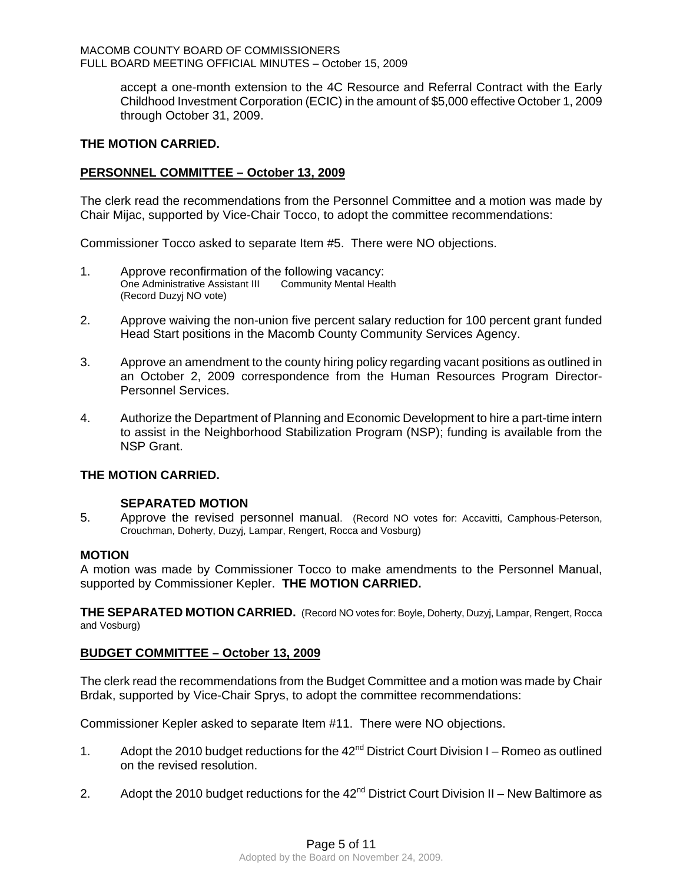#### MACOMB COUNTY BOARD OF COMMISSIONERS FULL BOARD MEETING OFFICIAL MINUTES – October 15, 2009

accept a one-month extension to the 4C Resource and Referral Contract with the Early Childhood Investment Corporation (ECIC) in the amount of \$5,000 effective October 1, 2009 through October 31, 2009.

## **THE MOTION CARRIED.**

## **PERSONNEL COMMITTEE – October 13, 2009**

The clerk read the recommendations from the Personnel Committee and a motion was made by Chair Mijac, supported by Vice-Chair Tocco, to adopt the committee recommendations:

Commissioner Tocco asked to separate Item #5. There were NO objections.

- 1. Approve reconfirmation of the following vacancy: One Administrative Assistant III Community Mental Health (Record Duzyj NO vote)
- 2. Approve waiving the non-union five percent salary reduction for 100 percent grant funded Head Start positions in the Macomb County Community Services Agency.
- 3. Approve an amendment to the county hiring policy regarding vacant positions as outlined in an October 2, 2009 correspondence from the Human Resources Program Director-Personnel Services.
- 4. Authorize the Department of Planning and Economic Development to hire a part-time intern to assist in the Neighborhood Stabilization Program (NSP); funding is available from the NSP Grant.

## **THE MOTION CARRIED.**

## **SEPARATED MOTION**

5. Approve the revised personnel manual. (Record NO votes for: Accavitti, Camphous-Peterson, Crouchman, Doherty, Duzyj, Lampar, Rengert, Rocca and Vosburg)

#### **MOTION**

A motion was made by Commissioner Tocco to make amendments to the Personnel Manual, supported by Commissioner Kepler. **THE MOTION CARRIED.** 

**THE SEPARATED MOTION CARRIED.** (Record NO votes for: Boyle, Doherty, Duzyj, Lampar, Rengert, Rocca and Vosburg)

## **BUDGET COMMITTEE – October 13, 2009**

The clerk read the recommendations from the Budget Committee and a motion was made by Chair Brdak, supported by Vice-Chair Sprys, to adopt the committee recommendations:

Commissioner Kepler asked to separate Item #11. There were NO objections.

- 1. Adopt the 2010 budget reductions for the  $42<sup>nd</sup>$  District Court Division I Romeo as outlined on the revised resolution.
- 2. Adopt the 2010 budget reductions for the  $42<sup>nd</sup>$  District Court Division II New Baltimore as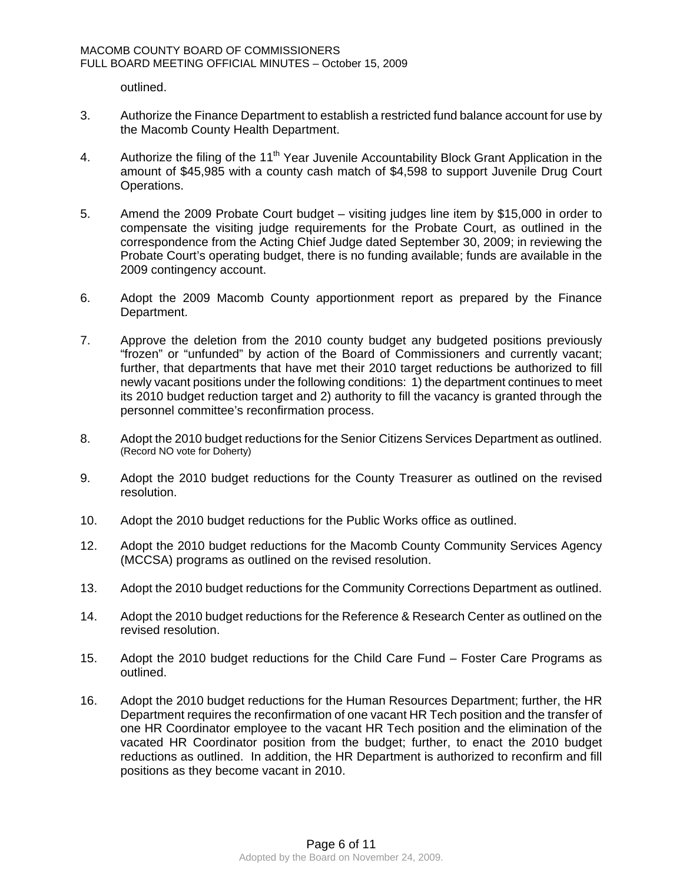outlined.

- 3. Authorize the Finance Department to establish a restricted fund balance account for use by the Macomb County Health Department.
- 4. Authorize the filing of the 11<sup>th</sup> Year Juvenile Accountability Block Grant Application in the amount of \$45,985 with a county cash match of \$4,598 to support Juvenile Drug Court Operations.
- 5. Amend the 2009 Probate Court budget visiting judges line item by \$15,000 in order to compensate the visiting judge requirements for the Probate Court, as outlined in the correspondence from the Acting Chief Judge dated September 30, 2009; in reviewing the Probate Court's operating budget, there is no funding available; funds are available in the 2009 contingency account.
- 6. Adopt the 2009 Macomb County apportionment report as prepared by the Finance Department.
- 7. Approve the deletion from the 2010 county budget any budgeted positions previously "frozen" or "unfunded" by action of the Board of Commissioners and currently vacant; further, that departments that have met their 2010 target reductions be authorized to fill newly vacant positions under the following conditions: 1) the department continues to meet its 2010 budget reduction target and 2) authority to fill the vacancy is granted through the personnel committee's reconfirmation process.
- 8. Adopt the 2010 budget reductions for the Senior Citizens Services Department as outlined. (Record NO vote for Doherty)
- 9. Adopt the 2010 budget reductions for the County Treasurer as outlined on the revised resolution.
- 10. Adopt the 2010 budget reductions for the Public Works office as outlined.
- 12. Adopt the 2010 budget reductions for the Macomb County Community Services Agency (MCCSA) programs as outlined on the revised resolution.
- 13. Adopt the 2010 budget reductions for the Community Corrections Department as outlined.
- 14. Adopt the 2010 budget reductions for the Reference & Research Center as outlined on the revised resolution.
- 15. Adopt the 2010 budget reductions for the Child Care Fund Foster Care Programs as outlined.
- 16. Adopt the 2010 budget reductions for the Human Resources Department; further, the HR Department requires the reconfirmation of one vacant HR Tech position and the transfer of one HR Coordinator employee to the vacant HR Tech position and the elimination of the vacated HR Coordinator position from the budget; further, to enact the 2010 budget reductions as outlined. In addition, the HR Department is authorized to reconfirm and fill positions as they become vacant in 2010.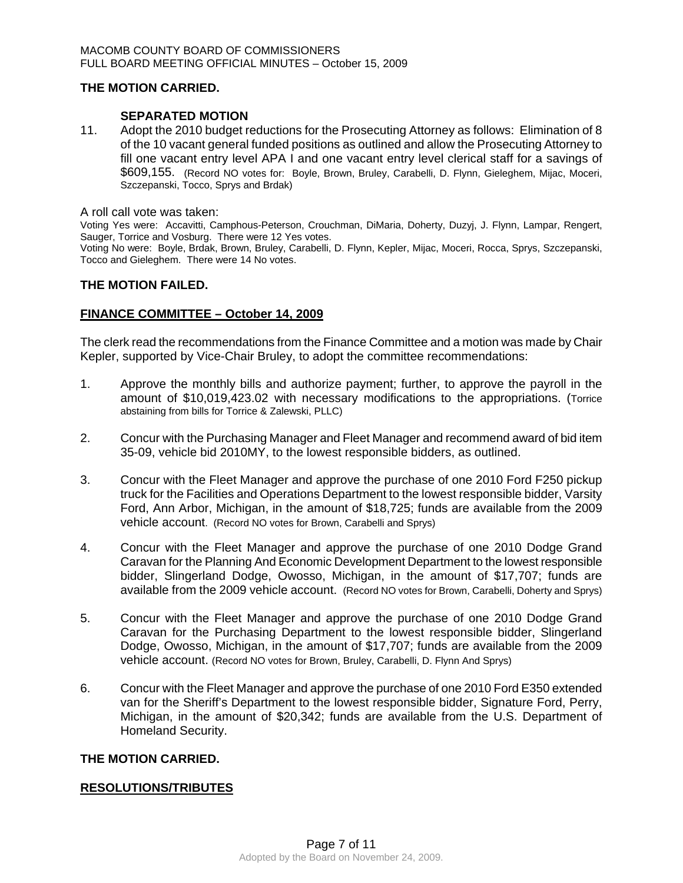## **THE MOTION CARRIED.**

#### **SEPARATED MOTION**

11. Adopt the 2010 budget reductions for the Prosecuting Attorney as follows: Elimination of 8 of the 10 vacant general funded positions as outlined and allow the Prosecuting Attorney to fill one vacant entry level APA I and one vacant entry level clerical staff for a savings of \$609,155. (Record NO votes for: Boyle, Brown, Bruley, Carabelli, D. Flynn, Gieleghem, Mijac, Moceri, Szczepanski, Tocco, Sprys and Brdak)

A roll call vote was taken:

Voting Yes were: Accavitti, Camphous-Peterson, Crouchman, DiMaria, Doherty, Duzyj, J. Flynn, Lampar, Rengert, Sauger, Torrice and Vosburg. There were 12 Yes votes.

Voting No were: Boyle, Brdak, Brown, Bruley, Carabelli, D. Flynn, Kepler, Mijac, Moceri, Rocca, Sprys, Szczepanski, Tocco and Gieleghem. There were 14 No votes.

#### **THE MOTION FAILED.**

#### **FINANCE COMMITTEE – October 14, 2009**

The clerk read the recommendations from the Finance Committee and a motion was made by Chair Kepler, supported by Vice-Chair Bruley, to adopt the committee recommendations:

- 1. Approve the monthly bills and authorize payment; further, to approve the payroll in the amount of \$10,019,423.02 with necessary modifications to the appropriations. (Torrice abstaining from bills for Torrice & Zalewski, PLLC)
- 2. Concur with the Purchasing Manager and Fleet Manager and recommend award of bid item 35-09, vehicle bid 2010MY, to the lowest responsible bidders, as outlined.
- 3. Concur with the Fleet Manager and approve the purchase of one 2010 Ford F250 pickup truck for the Facilities and Operations Department to the lowest responsible bidder, Varsity Ford, Ann Arbor, Michigan, in the amount of \$18,725; funds are available from the 2009 vehicle account. (Record NO votes for Brown, Carabelli and Sprys)
- 4. Concur with the Fleet Manager and approve the purchase of one 2010 Dodge Grand Caravan for the Planning And Economic Development Department to the lowest responsible bidder, Slingerland Dodge, Owosso, Michigan, in the amount of \$17,707; funds are available from the 2009 vehicle account. (Record NO votes for Brown, Carabelli, Doherty and Sprys)
- 5. Concur with the Fleet Manager and approve the purchase of one 2010 Dodge Grand Caravan for the Purchasing Department to the lowest responsible bidder, Slingerland Dodge, Owosso, Michigan, in the amount of \$17,707; funds are available from the 2009 vehicle account. (Record NO votes for Brown, Bruley, Carabelli, D. Flynn And Sprys)
- 6. Concur with the Fleet Manager and approve the purchase of one 2010 Ford E350 extended van for the Sheriff's Department to the lowest responsible bidder, Signature Ford, Perry, Michigan, in the amount of \$20,342; funds are available from the U.S. Department of Homeland Security.

## **THE MOTION CARRIED.**

## **RESOLUTIONS/TRIBUTES**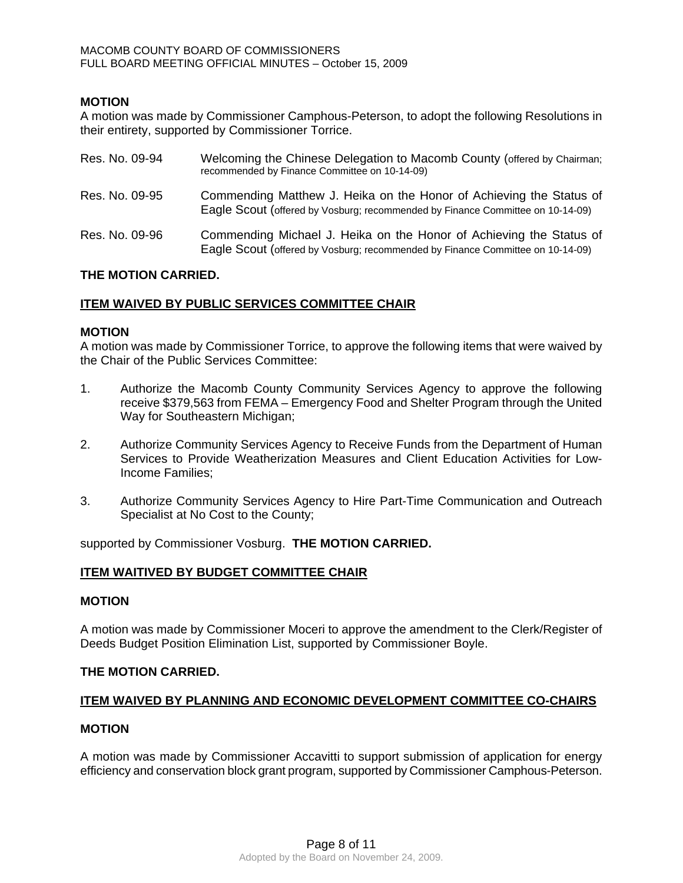## **MOTION**

A motion was made by Commissioner Camphous-Peterson, to adopt the following Resolutions in their entirety, supported by Commissioner Torrice.

| Res. No. 09-94 | Welcoming the Chinese Delegation to Macomb County (offered by Chairman;<br>recommended by Finance Committee on 10-14-09)                              |
|----------------|-------------------------------------------------------------------------------------------------------------------------------------------------------|
| Res. No. 09-95 | Commending Matthew J. Heika on the Honor of Achieving the Status of<br>Eagle Scout (offered by Vosburg; recommended by Finance Committee on 10-14-09) |
| Res. No. 09-96 | Commending Michael J. Heika on the Honor of Achieving the Status of<br>Eagle Scout (offered by Vosburg; recommended by Finance Committee on 10-14-09) |

## **THE MOTION CARRIED.**

## **ITEM WAIVED BY PUBLIC SERVICES COMMITTEE CHAIR**

#### **MOTION**

A motion was made by Commissioner Torrice, to approve the following items that were waived by the Chair of the Public Services Committee:

- 1. Authorize the Macomb County Community Services Agency to approve the following receive \$379,563 from FEMA – Emergency Food and Shelter Program through the United Way for Southeastern Michigan;
- 2. Authorize Community Services Agency to Receive Funds from the Department of Human Services to Provide Weatherization Measures and Client Education Activities for Low-Income Families;
- 3. Authorize Community Services Agency to Hire Part-Time Communication and Outreach Specialist at No Cost to the County;

supported by Commissioner Vosburg. **THE MOTION CARRIED.** 

## **ITEM WAITIVED BY BUDGET COMMITTEE CHAIR**

#### **MOTION**

A motion was made by Commissioner Moceri to approve the amendment to the Clerk/Register of Deeds Budget Position Elimination List, supported by Commissioner Boyle.

#### **THE MOTION CARRIED.**

#### **ITEM WAIVED BY PLANNING AND ECONOMIC DEVELOPMENT COMMITTEE CO-CHAIRS**

#### **MOTION**

A motion was made by Commissioner Accavitti to support submission of application for energy efficiency and conservation block grant program, supported by Commissioner Camphous-Peterson.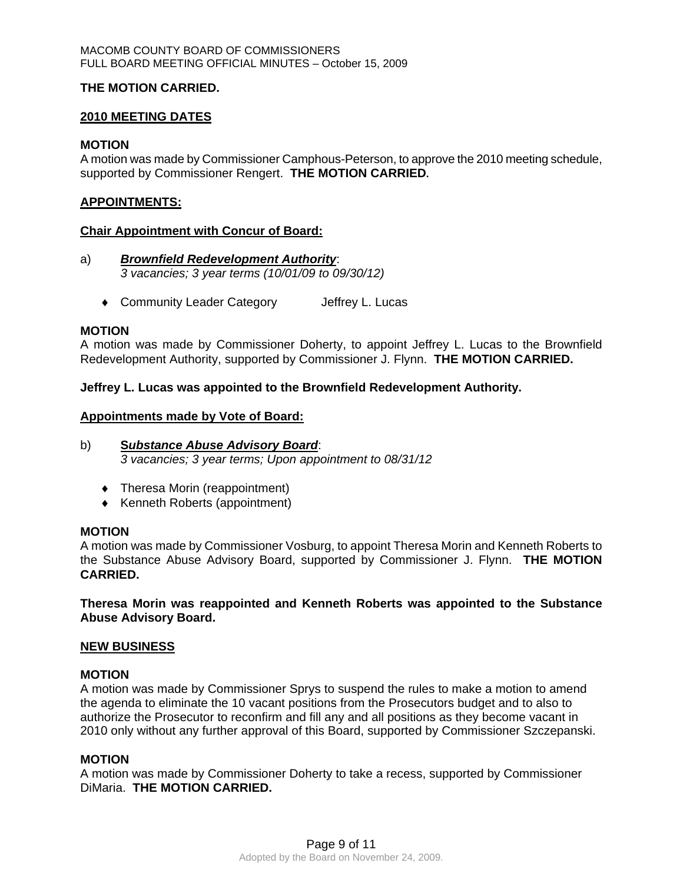## **THE MOTION CARRIED.**

#### **2010 MEETING DATES**

#### **MOTION**

A motion was made by Commissioner Camphous-Peterson, to approve the 2010 meeting schedule, supported by Commissioner Rengert. **THE MOTION CARRIED.** 

#### **APPOINTMENTS:**

#### **Chair Appointment with Concur of Board:**

- a)*Brownfield Redevelopment Authority*: *3 vacancies; 3 year terms (10/01/09 to 09/30/12)* 
	- ◆ Community Leader Category Jeffrey L. Lucas

#### **MOTION**

A motion was made by Commissioner Doherty, to appoint Jeffrey L. Lucas to the Brownfield Redevelopment Authority, supported by Commissioner J. Flynn. **THE MOTION CARRIED.** 

**Jeffrey L. Lucas was appointed to the Brownfield Redevelopment Authority.** 

#### **Appointments made by Vote of Board:**

## b) **S***ubstance Abuse Advisory Board*: *3 vacancies; 3 year terms; Upon appointment to 08/31/12*

- ♦ Theresa Morin (reappointment)
- ♦ Kenneth Roberts (appointment)

## **MOTION**

A motion was made by Commissioner Vosburg, to appoint Theresa Morin and Kenneth Roberts to the Substance Abuse Advisory Board, supported by Commissioner J. Flynn. **THE MOTION CARRIED.** 

**Theresa Morin was reappointed and Kenneth Roberts was appointed to the Substance Abuse Advisory Board.** 

#### **NEW BUSINESS**

#### **MOTION**

A motion was made by Commissioner Sprys to suspend the rules to make a motion to amend the agenda to eliminate the 10 vacant positions from the Prosecutors budget and to also to authorize the Prosecutor to reconfirm and fill any and all positions as they become vacant in 2010 only without any further approval of this Board, supported by Commissioner Szczepanski.

#### **MOTION**

A motion was made by Commissioner Doherty to take a recess, supported by Commissioner DiMaria. **THE MOTION CARRIED.**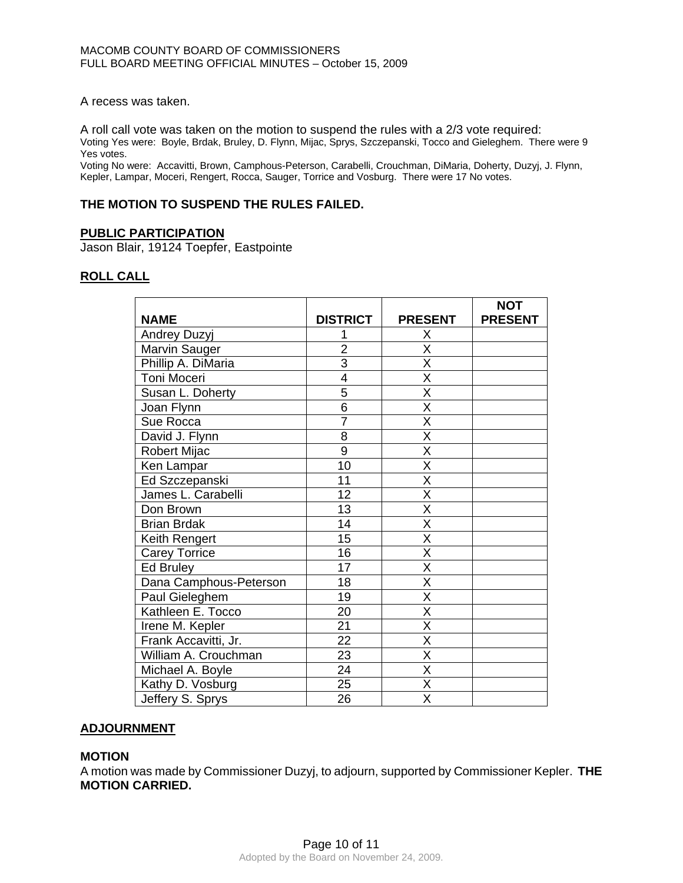A recess was taken.

A roll call vote was taken on the motion to suspend the rules with a 2/3 vote required: Voting Yes were: Boyle, Brdak, Bruley, D. Flynn, Mijac, Sprys, Szczepanski, Tocco and Gieleghem. There were 9 Yes votes.

Voting No were: Accavitti, Brown, Camphous-Peterson, Carabelli, Crouchman, DiMaria, Doherty, Duzyj, J. Flynn, Kepler, Lampar, Moceri, Rengert, Rocca, Sauger, Torrice and Vosburg. There were 17 No votes.

## **THE MOTION TO SUSPEND THE RULES FAILED.**

#### **PUBLIC PARTICIPATION**

Jason Blair, 19124 Toepfer, Eastpointe

## **ROLL CALL**

| <b>NAME</b>            | <b>DISTRICT</b> | <b>PRESENT</b>          | <b>NOT</b><br><b>PRESENT</b> |
|------------------------|-----------------|-------------------------|------------------------------|
| Andrey Duzyj           |                 | Х                       |                              |
| Marvin Sauger          | $\overline{2}$  | $\overline{\mathsf{x}}$ |                              |
|                        |                 |                         |                              |
| Phillip A. DiMaria     | $\overline{3}$  | X                       |                              |
| Toni Moceri            | 4               | $\overline{\mathsf{x}}$ |                              |
| Susan L. Doherty       | $\overline{5}$  | $\overline{\mathsf{x}}$ |                              |
| Joan Flynn             | $\overline{6}$  | $\overline{\sf x}$      |                              |
| Sue Rocca              | $\overline{7}$  | $\overline{\mathsf{x}}$ |                              |
| David J. Flynn         | 8               | X                       |                              |
| Robert Mijac           | $\overline{9}$  | $\overline{\mathsf{x}}$ |                              |
| Ken Lampar             | 10              | $\overline{\mathsf{x}}$ |                              |
| Ed Szczepanski         | 11              | X                       |                              |
| James L. Carabelli     | 12              | $\overline{\mathsf{x}}$ |                              |
| Don Brown              | 13              | $\overline{\mathsf{x}}$ |                              |
| <b>Brian Brdak</b>     | 14              | X                       |                              |
| Keith Rengert          | $\overline{15}$ | $\overline{\mathsf{x}}$ |                              |
| <b>Carey Torrice</b>   | 16              | $\overline{\mathsf{x}}$ |                              |
| <b>Ed Bruley</b>       | 17              | X                       |                              |
| Dana Camphous-Peterson | 18              | $\overline{\mathsf{x}}$ |                              |
| Paul Gieleghem         | 19              | $\overline{\mathsf{x}}$ |                              |
| Kathleen E. Tocco      | 20              | X                       |                              |
| Irene M. Kepler        | 21              | $\overline{\mathsf{x}}$ |                              |
| Frank Accavitti, Jr.   | $\overline{22}$ | $\overline{\mathsf{x}}$ |                              |
| William A. Crouchman   | 23              | $\overline{\mathsf{x}}$ |                              |
| Michael A. Boyle       | $\overline{24}$ | $\overline{\mathsf{X}}$ |                              |
| Kathy D. Vosburg       | 25              | $\overline{\mathsf{x}}$ |                              |
| Jeffery S. Sprys       | 26              | X                       |                              |

#### **ADJOURNMENT**

#### **MOTION**

A motion was made by Commissioner Duzyj, to adjourn, supported by Commissioner Kepler. **THE MOTION CARRIED.**